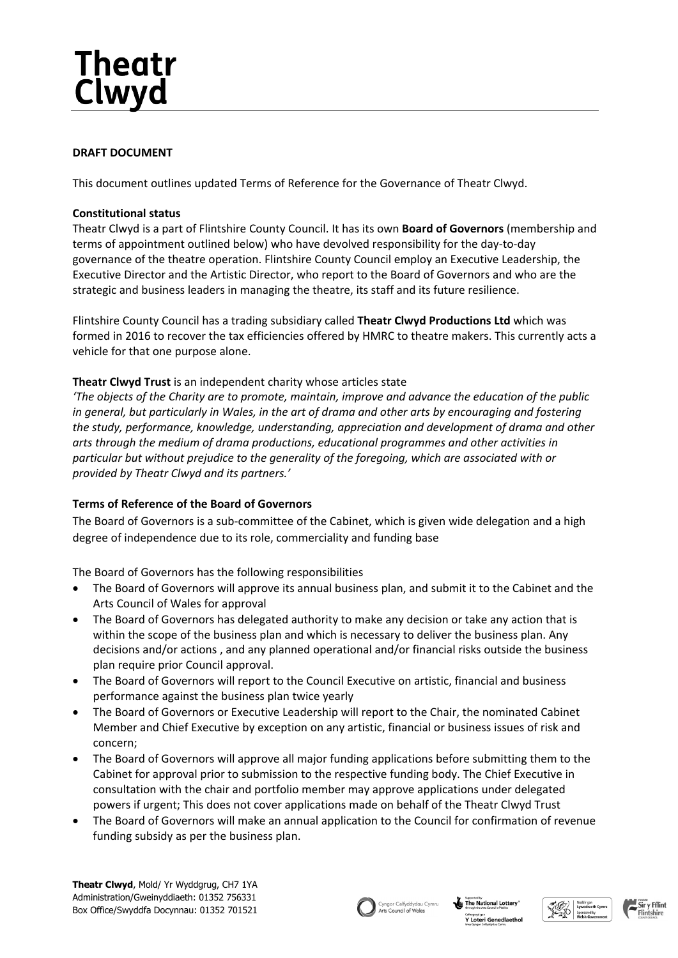# Theatr Clwyd

## **DRAFT DOCUMENT**

This document outlines updated Terms of Reference for the Governance of Theatr Clwyd.

## **Constitutional status**

Theatr Clwyd is a part of Flintshire County Council. It has its own **Board of Governors** (membership and terms of appointment outlined below) who have devolved responsibility for the day-to-day governance of the theatre operation. Flintshire County Council employ an Executive Leadership, the Executive Director and the Artistic Director, who report to the Board of Governors and who are the strategic and business leaders in managing the theatre, its staff and its future resilience.

Flintshire County Council has a trading subsidiary called **Theatr Clwyd Productions Ltd** which was formed in 2016 to recover the tax efficiencies offered by HMRC to theatre makers. This currently acts a vehicle for that one purpose alone.

## **Theatr Clwyd Trust** is an independent charity whose articles state

*'The objects of the Charity are to promote, maintain, improve and advance the education of the public* in general, but particularly in Wales, in the art of drama and other arts by encouraging and fostering *the study, performance, knowledge, understanding, appreciation and development of drama and other arts through the medium of drama productions, educational programmes and other activities in particular but without prejudice to the generality of the foregoing, which are associated with or provided by Theatr Clwyd and its partners.'*

# **Terms of Reference of the Board of Governors**

The Board of Governors is a sub-committee of the Cabinet, which is given wide delegation and a high degree of independence due to its role, commerciality and funding base

The Board of Governors has the following responsibilities

- The Board of Governors will approve its annual business plan, and submit it to the Cabinet and the Arts Council of Wales for approval
- The Board of Governors has delegated authority to make any decision or take any action that is within the scope of the business plan and which is necessary to deliver the business plan. Any decisions and/or actions , and any planned operational and/or financial risks outside the business plan require prior Council approval.
- The Board of Governors will report to the Council Executive on artistic, financial and business performance against the business plan twice yearly
- The Board of Governors or Executive Leadership will report to the Chair, the nominated Cabinet Member and Chief Executive by exception on any artistic, financial or business issues of risk and concern;
- The Board of Governors will approve all major funding applications before submitting them to the Cabinet for approval prior to submission to the respective funding body. The Chief Executive in consultation with the chair and portfolio member may approve applications under delegated powers if urgent; This does not cover applications made on behalf of the Theatr Clwyd Trust
- The Board of Governors will make an annual application to the Council for confirmation of revenue funding subsidy as per the business plan.





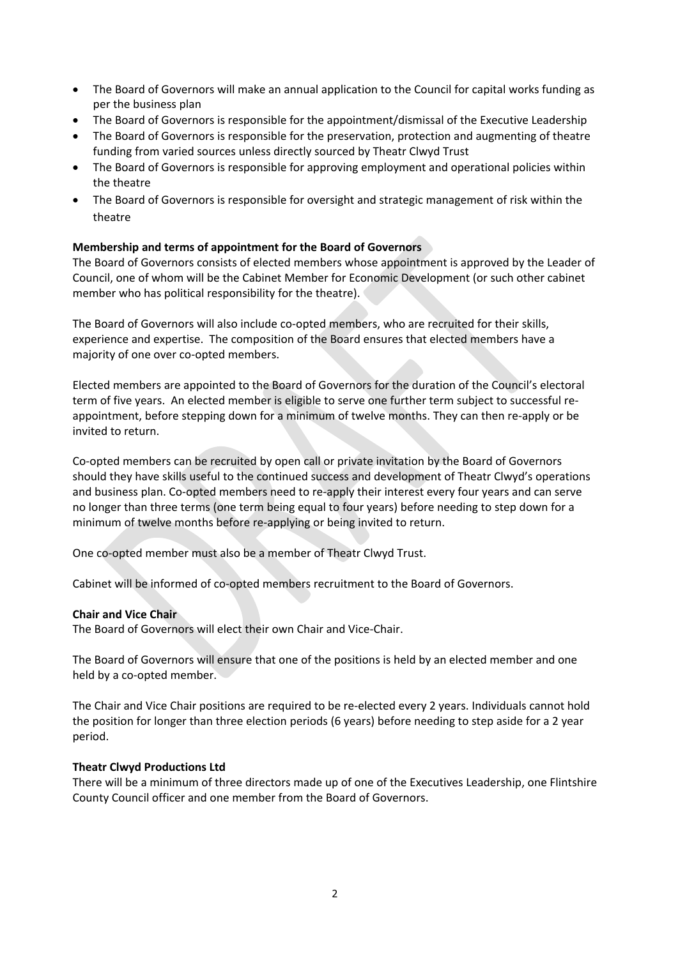- The Board of Governors will make an annual application to the Council for capital works funding as per the business plan
- The Board of Governors is responsible for the appointment/dismissal of the Executive Leadership
- The Board of Governors is responsible for the preservation, protection and augmenting of theatre funding from varied sources unless directly sourced by Theatr Clwyd Trust
- The Board of Governors is responsible for approving employment and operational policies within the theatre
- The Board of Governors is responsible for oversight and strategic management of risk within the theatre

## **Membership and terms of appointment for the Board of Governors**

The Board of Governors consists of elected members whose appointment is approved by the Leader of Council, one of whom will be the Cabinet Member for Economic Development (or such other cabinet member who has political responsibility for the theatre).

The Board of Governors will also include co-opted members, who are recruited for their skills, experience and expertise. The composition of the Board ensures that elected members have a majority of one over co-opted members.

Elected members are appointed to the Board of Governors for the duration of the Council's electoral term of five years. An elected member is eligible to serve one further term subject to successful reappointment, before stepping down for a minimum of twelve months. They can then re-apply or be invited to return.

Co-opted members can be recruited by open call or private invitation by the Board of Governors should they have skills useful to the continued success and development of Theatr Clwyd's operations and business plan. Co-opted members need to re-apply their interest every four years and can serve no longer than three terms (one term being equal to four years) before needing to step down for a minimum of twelve months before re-applying or being invited to return.

One co-opted member must also be a member of Theatr Clwyd Trust.

Cabinet will be informed of co-opted members recruitment to the Board of Governors.

#### **Chair and Vice Chair**

The Board of Governors will elect their own Chair and Vice-Chair.

The Board of Governors will ensure that one of the positions is held by an elected member and one held by a co-opted member.

The Chair and Vice Chair positions are required to be re-elected every 2 years. Individuals cannot hold the position for longer than three election periods (6 years) before needing to step aside for a 2 year period.

#### **Theatr Clwyd Productions Ltd**

There will be a minimum of three directors made up of one of the Executives Leadership, one Flintshire County Council officer and one member from the Board of Governors.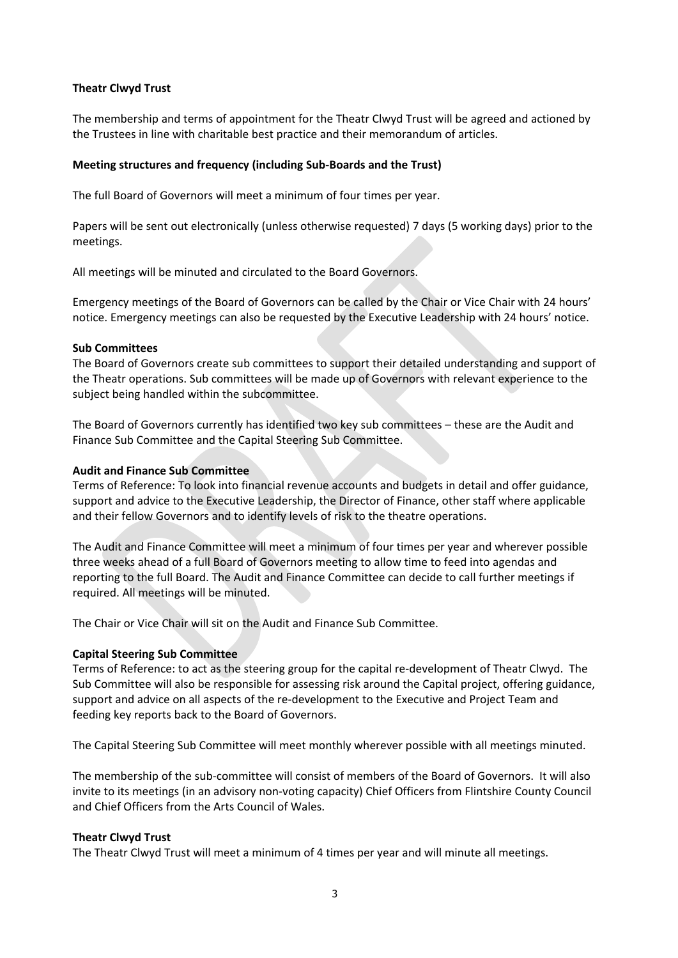#### **Theatr Clwyd Trust**

The membership and terms of appointment for the Theatr Clwyd Trust will be agreed and actioned by the Trustees in line with charitable best practice and their memorandum of articles.

#### **Meeting structures and frequency (including Sub-Boards and the Trust)**

The full Board of Governors will meet a minimum of four times per year.

Papers will be sent out electronically (unless otherwise requested) 7 days (5 working days) prior to the meetings.

All meetings will be minuted and circulated to the Board Governors.

Emergency meetings of the Board of Governors can be called by the Chair or Vice Chair with 24 hours' notice. Emergency meetings can also be requested by the Executive Leadership with 24 hours' notice.

#### **Sub Committees**

The Board of Governors create sub committees to support their detailed understanding and support of the Theatr operations. Sub committees will be made up of Governors with relevant experience to the subject being handled within the subcommittee.

The Board of Governors currently has identified two key sub committees – these are the Audit and Finance Sub Committee and the Capital Steering Sub Committee.

#### **Audit and Finance Sub Committee**

Terms of Reference: To look into financial revenue accounts and budgets in detail and offer guidance, support and advice to the Executive Leadership, the Director of Finance, other staff where applicable and their fellow Governors and to identify levels of risk to the theatre operations.

The Audit and Finance Committee will meet a minimum of four times per year and wherever possible three weeks ahead of a full Board of Governors meeting to allow time to feed into agendas and reporting to the full Board. The Audit and Finance Committee can decide to call further meetings if required. All meetings will be minuted.

The Chair or Vice Chair will sit on the Audit and Finance Sub Committee.

#### **Capital Steering Sub Committee**

Terms of Reference: to act as the steering group for the capital re-development of Theatr Clwyd. The Sub Committee will also be responsible for assessing risk around the Capital project, offering guidance, support and advice on all aspects of the re-development to the Executive and Project Team and feeding key reports back to the Board of Governors.

The Capital Steering Sub Committee will meet monthly wherever possible with all meetings minuted.

The membership of the sub-committee will consist of members of the Board of Governors. It will also invite to its meetings (in an advisory non-voting capacity) Chief Officers from Flintshire County Council and Chief Officers from the Arts Council of Wales.

#### **Theatr Clwyd Trust**

The Theatr Clwyd Trust will meet a minimum of 4 times per year and will minute all meetings.